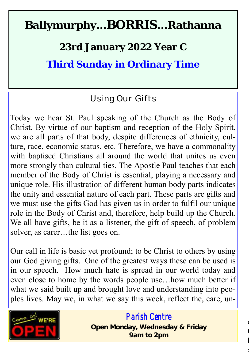## **Ballymurphy...BORRIS...Rathanna**

**23rd January 2022 Year C**

**Third Sunday in Ordinary Time**

### Using Our Gifts

Today we hear St. Paul speaking of the Church as the Body of Christ. By virtue of our baptism and reception of the Holy Spirit, we are all parts of that body, despite differences of ethnicity, culture, race, economic status, etc. Therefore, we have a commonality with baptised Christians all around the world that unites us even more strongly than cultural ties. The Apostle Paul teaches that each member of the Body of Christ is essential, playing a necessary and unique role. His illustration of different human body parts indicates the unity and essential nature of each part. These parts are gifts and we must use the gifts God has given us in order to fulfil our unique role in the Body of Christ and, therefore, help build up the Church. We all have gifts, be it as a listener, the gift of speech, of problem solver, as carer…the list goes on.

Our call in life is basic yet profound; to be Christ to others by using our God giving gifts. One of the greatest ways these can be used is in our speech. How much hate is spread in our world today and even close to home by the words people use…how much better if what we said built up and brought love and understanding into peoples lives. May we, in what we say this week, reflect the, care, un-



### *Parish Centre*

 $\mathbf$  $\ddot{\phantom{a}}$  $\mathbf{l}$ 

and world..

**Open Monday, Wednesday & Friday 9am to 2pm**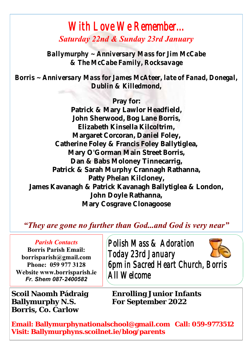### *With Love We Remember... Saturday 22nd & Sunday 23rd January*

*Ballymurphy ~ Anniversary Mass for Jim McCabe & The McCabe Family, Rocksavage*

*Borris ~ Anniversary Mass for James McAteer, late of Fanad, Donegal, Dublin & Killedmond,*

**Pray for: Patrick & Mary Lawlor Headfield, John Sherwood, Bog Lane Borris, Elizabeth Kinsella Kilcoltrim, Margaret Corcoran, Daniel Foley, Catherine Foley & Francis Foley Ballytiglea, Mary O'Gorman Main Street Borris, Dan & Babs Moloney Tinnecarrig, Patrick & Sarah Murphy Crannagh Rathanna, Patty Phelan Kilcloney, James Kavanagh & Patrick Kavanagh Ballytiglea & London, John Doyle Rathanna, Mary Cosgrave Clonagoose**

#### *"They are gone no further than God...and God is very near"*

#### *Parish Contacts*

**Borris Parish Email: borrisparish@gmail.com Phone: 059 977 3128 Website www.borrisparish.ie** *Fr. Shem 087-2400582*

**Borris, Co. Carlow**

 *Polish Mass & Adoration Today 23rd January 6pm in Sacred Heart Church, Borris All Welcome* 

**Scoil Naomh Pádraig Enrolling Junior Infants For September 2022** 

**Email: Ballymurphynationalschool@gmail.com Call: 059-9773512 Visit: Ballymurphyns.scoilnet.ie/blog/parents**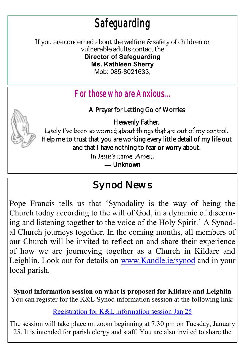# *Safeguarding*

If you are concerned about the welfare & safety of children or vulnerable adults contact the

**Director of Safeguarding Ms. Kathleen Sherry**  Mob: 085-8021633,

### *For those who are Anxious...*

A Prayer for Letting Go of Worries

Heavenly Father,



Lately I've been so worried about things that are out of my control. Help me to trust that you are working every little detail of my life out and that I have nothing to fear or worry about.

In Jesus's name, Amen.

— [Unknown](https://www.pinterest.com/pin/395894623491233608/) 

### Synod News

Pope Francis tells us that 'Synodality is the way of being the Church today according to the will of God, in a dynamic of discerning and listening together to the voice of the Holy Spirit.' A Synodal Church journeys together. In the coming months, all members of our Church will be invited to reflect on and share their experience of how we are journeying together as a Church in Kildare and Leighlin. Look out for details on [www.Kandle.ie/synod](http://www.google.com/url?q=http%3A%2F%2Fwww.Kandle.ie%2Fsynod&sa=D&sntz=1&usg=AFQjCNE7EbTrWUGHtUQ9roabJyYb0wWPww) and in your local parish.

**Synod information session on what is proposed for Kildare and Leighlin** You can register for the K&L Synod information session at the following link:

[Registration for K&L information session Jan 25](https://www.google.com/url?q=https%3A%2F%2Fus02web.zoom.us%2Fmeeting%2Fregister%2FtZYrfu2qpjovHtJRX-JcTn2FlbB0x9ZqlTyR&sa=D&sntz=1&usg=AFQjCNGkxRhw350F3wPwPiThmlgsTqmTXQ)

The session will take place on zoom beginning at 7:30 pm on Tuesday, January 25. It is intended for parish clergy and staff. You are also invited to share the